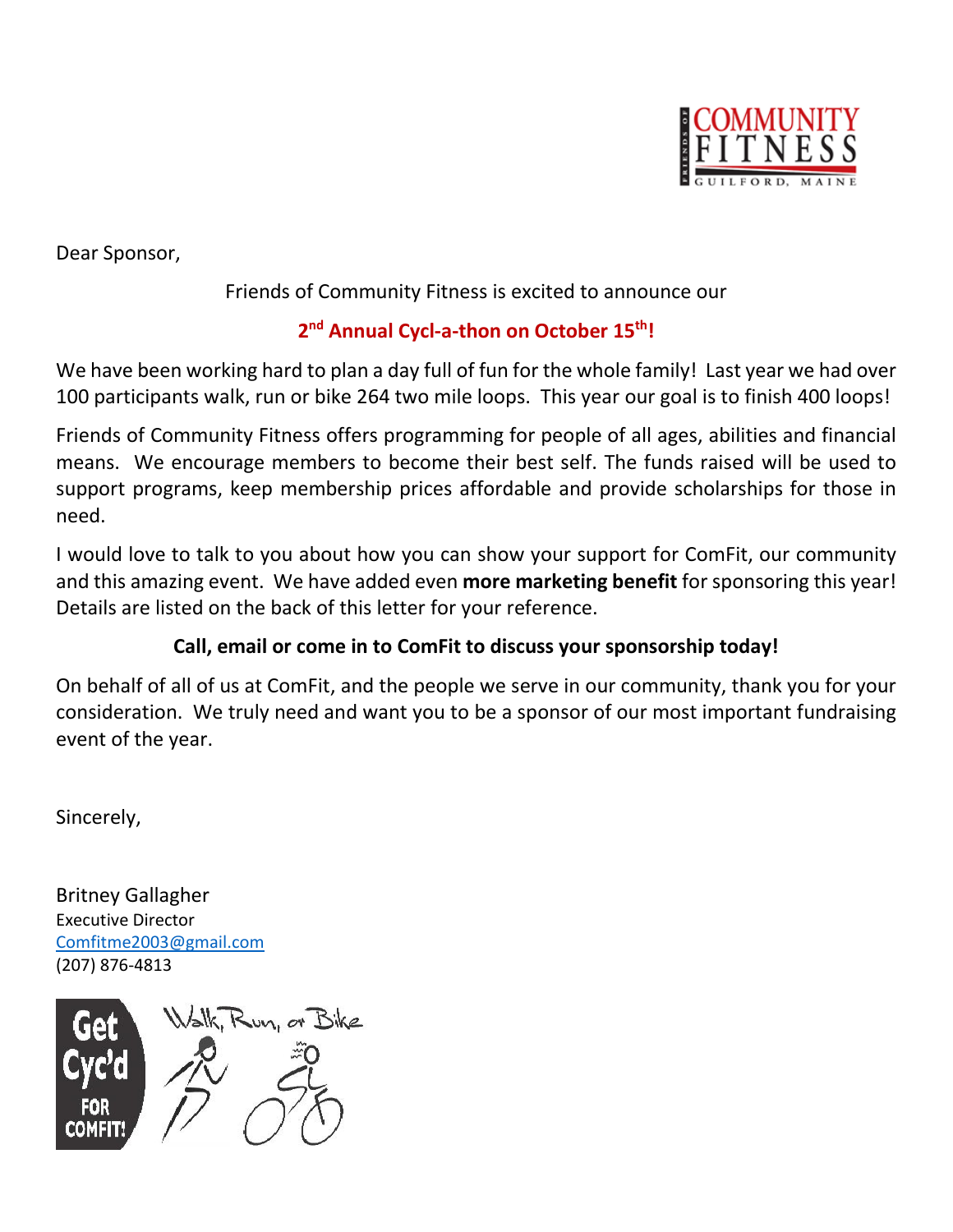

Dear Sponsor,

Friends of Community Fitness is excited to announce our

## **2 nd Annual Cycl-a-thon on October 15th!**

We have been working hard to plan a day full of fun for the whole family! Last year we had over 100 participants walk, run or bike 264 two mile loops. This year our goal is to finish 400 loops!

Friends of Community Fitness offers programming for people of all ages, abilities and financial means. We encourage members to become their best self. The funds raised will be used to support programs, keep membership prices affordable and provide scholarships for those in need.

I would love to talk to you about how you can show your support for ComFit, our community and this amazing event. We have added even **more marketing benefit** for sponsoring this year! Details are listed on the back of this letter for your reference.

## **Call, email or come in to ComFit to discuss your sponsorship today!**

On behalf of all of us at ComFit, and the people we serve in our community, thank you for your consideration. We truly need and want you to be a sponsor of our most important fundraising event of the year.

Sincerely,

Britney Gallagher Executive Director [Comfitme2003@gmail.com](mailto:Comfitme2003@gmail.com) (207) 876-4813